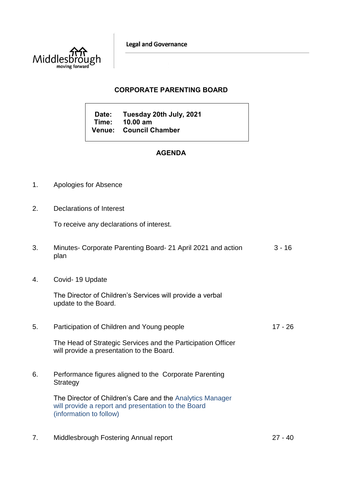**Legal and Governance** 



## **CORPORATE PARENTING BOARD**

**Date: Tuesday 20th July, 2021 Time: 10.00 am Venue: Council Chamber**

## **AGENDA**

- 1. Apologies for Absence
- 2. Declarations of Interest

To receive any declarations of interest.

- 3. Minutes- Corporate Parenting Board- 21 April 2021 and action plan 3 - 16
- 4. Covid- 19 Update

The Director of Children's Services will provide a verbal update to the Board.

5. Participation of Children and Young people 17 - 26

The Head of Strategic Services and the Participation Officer will provide a presentation to the Board.

6. Performance figures aligned to the Corporate Parenting **Strategy** 

> The Director of Children's Care and the Analytics Manager will provide a report and presentation to the Board (information to follow)

7. Middlesbrough Fostering Annual report 27 - 40